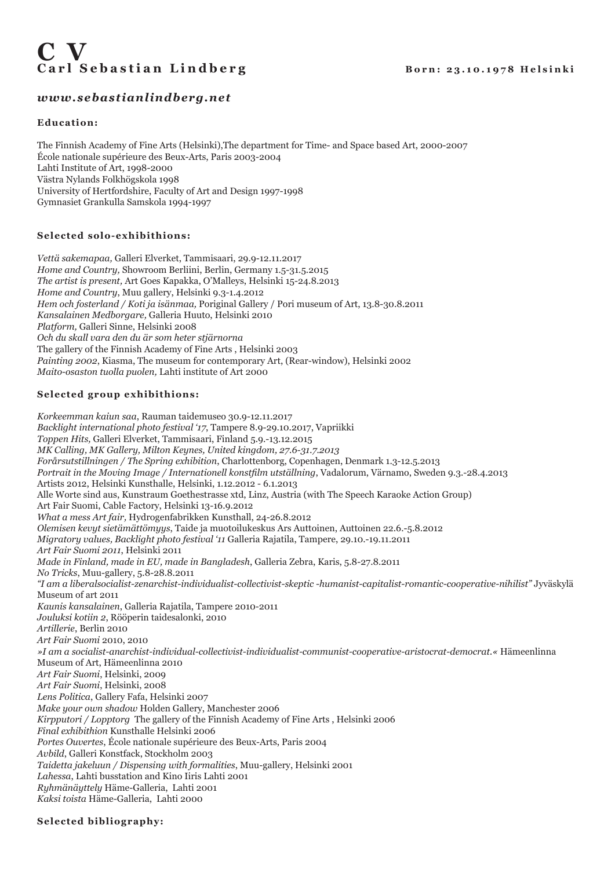# Carl Sebastian Lindberg Born: 23.10.1978 Helsinki

## *www.sebastianlindberg.net*

## **Education:**

The Finnish Academy of Fine Arts (Helsinki),The department for Time- and Space based Art, 2000-2007 École nationale supérieure des Beux-Arts, Paris 2003-2004 Lahti Institute of Art, 1998-2000 Västra Nylands Folkhögskola 1998 University of Hertfordshire, Faculty of Art and Design 1997-1998 Gymnasiet Grankulla Samskola 1994-1997

## **Selected solo-exhibithions:**

*Vettä sakemapaa,* Galleri Elverket, Tammisaari, 29.9-12.11.2017 *Home and Country,* Showroom Berliini, Berlin, Germany 1.5-31.5.2015 *The artist is present,* Art Goes Kapakka, O'Malleys, Helsinki 15-24.8.2013 *Home and Country*, Muu gallery, Helsinki 9.3-1.4.2012 *Hem och fosterland / Koti ja isänmaa,* Poriginal Gallery / Pori museum of Art, 13.8-30.8.2011 *Kansalainen Medborgare,* Galleria Huuto, Helsinki 2010 *Platform,* Galleri Sinne, Helsinki 2008 *Och du skall vara den du är som heter stjärnorna*  The gallery of the Finnish Academy of Fine Arts , Helsinki 2003 *Painting 2002*, Kiasma, The museum for contemporary Art, (Rear-window), Helsinki 2002 *Maito-osaston tuolla puolen,* Lahti institute of Art 2000

## **Selected group exhibithions:**

*Korkeemman kaiun saa*, Rauman taidemuseo 30.9-12.11.2017 *Backlight international photo festival '17*, Tampere 8.9-29.10.2017, Vapriikki *Toppen Hits,* Galleri Elverket, Tammisaari, Finland 5.9.-13.12.2015 *MK Calling, MK Gallery, Milton Keynes, United kingdom, 27.6-31.7.2013 Forårsutstillningen / The Spring exhibition*, Charlottenborg, Copenhagen, Denmark 1.3-12.5.2013 *Portrait in the Moving Image / Internationell konstfilm utställning*, Vadalorum, Värnamo, Sweden 9.3.-28.4.2013 Artists 2012, Helsinki Kunsthalle, Helsinki, 1.12.2012 - 6.1.2013 Alle Worte sind aus, Kunstraum Goethestrasse xtd, Linz, Austria (with The Speech Karaoke Action Group) Art Fair Suomi, Cable Factory, Helsinki 13-16.9.2012 *What a mess Art fair,* Hydrogenfabrikken Kunsthall, 24-26.8.2012 *Olemisen kevyt sietämättömyys*, Taide ja muotoilukeskus Ars Auttoinen, Auttoinen 22.6.-5.8.2012 *Migratory values, Backlight photo festival '11* Galleria Rajatila, Tampere, 29.10.-19.11.2011 *Art Fair Suomi 2011*, Helsinki 2011 *Made in Finland, made in EU, made in Bangladesh*, Galleria Zebra, Karis, 5.8-27.8.2011 *No Tricks*, Muu-gallery, 5.8-28.8.2011 *"I am a liberalsocialist-zenarchist-individualist-collectivist-skeptic -humanist-capitalist-romantic-cooperative-nihilist"* Jyväskylä Museum of art 2011 *Kaunis kansalainen*, Galleria Rajatila, Tampere 2010-2011 *Jouluksi kotiin 2*, Rööperin taidesalonki, 2010 *Artillerie*, Berlin 2010 *Art Fair Suomi* 2010, 2010 *»I am a socialist-anarchist-individual-collectivist-individualist-communist-cooperative-aristocrat-democrat.«* Hämeenlinna Museum of Art, Hämeenlinna 2010 *Art Fair Suomi*, Helsinki, 2009 *Art Fair Suomi*, Helsinki, 2008 *Lens Politica*, Gallery Fafa, Helsinki 2007 *Make your own shadow* Holden Gallery, Manchester 2006 *Kirpputori / Lopptorg* The gallery of the Finnish Academy of Fine Arts , Helsinki 2006 *Final exhibithion* Kunsthalle Helsinki 2006 *Portes Ouvertes*, École nationale supérieure des Beux-Arts, Paris 2004 *Avbild*, Galleri Konstfack, Stockholm 2003 *Taidetta jakeluun / Dispensing with formalities*, Muu-gallery, Helsinki 2001 *Lahessa*, Lahti busstation and Kino Iiris Lahti 2001 *Ryhmänäyttely* Häme-Galleria, Lahti 2001 *Kaksi toista* Häme-Galleria, Lahti 2000

**Selected bibliography:**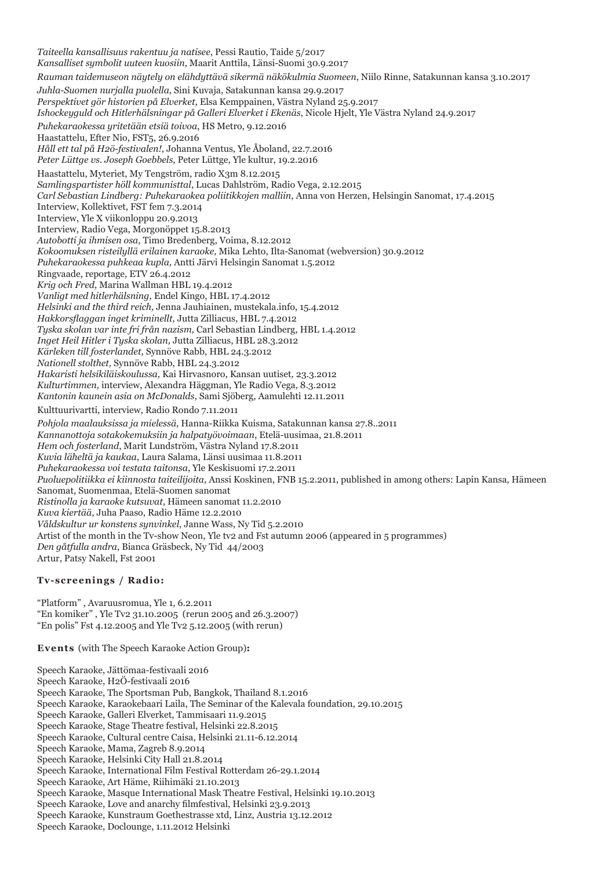*Taiteella kansallisuus rakentuu ja natisee*, Pessi Rautio, Taide 5/2017 *Kansalliset symbolit uuteen kuosiin*, Maarit Anttila, Länsi-Suomi 30.9.2017 *Rauman taidemuseon näytely on elähdyttävä sikermä näkökulmia Suomeen*, Niilo Rinne, Satakunnan kansa 3.10.2017 *Juhla-Suomen nurjalla puolella*, Sini Kuvaja, Satakunnan kansa 29.9.2017 *Perspektivet gör historien på Elverket*, Elsa Kemppainen, Västra Nyland 25.9.2017 *Ishockeyguld och Hitlerhälsningar på Galleri Elverket i Ekenäs*, Nicole Hjelt, Yle Västra Nyland 24.9.2017 *Puhekaraokessa yritetään etsiä toivoa*, HS Metro, 9.12.2016 Haastattelu, Efter Nio, FST5, 26.9.2016 *Håll ett tal på H2ö-festivalen!*, Johanna Ventus, Yle Åboland, 22.7.2016 *Peter Lüttge vs. Joseph Goebbels*, Peter Lüttge, Yle kultur, 19.2.2016 Haastattelu, Myteriet, My Tengström, radio X3m 8.12.2015 *Samlingspartister höll kommunisttal*, Lucas Dahlström, Radio Vega, 2.12.2015 *Carl Sebastian Lindberg: Puhekaraokea poliitikkojen malliin*, Anna von Herzen, Helsingin Sanomat, 17.4.2015 Interview, Kollektivet, FST fem 7.3.2014 Interview, Yle X viikonloppu 20.9.2013 Interview, Radio Vega, Morgonöppet 15.8.2013 *Autobotti ja ihmisen osa*, Timo Bredenberg, Voima, 8.12.2012 *Kokoomuksen risteilyllä erilainen karaoke,* Mika Lehto, Ilta-Sanomat (webversion) 30.9.2012 *Puhekaraokessa puhkeaa kupla,* Antti Järvi Helsingin Sanomat 1.5.2012 Ringvaade, reportage, ETV 26.4.2012 *Krig och Fred,* Marina Wallman HBL 19.4.2012 *Vanligt med hitlerhälsning,* Endel Kingo, HBL 17.4.2012 *Helsinki and the third reich,* Jenna Jauhiainen, mustekala.info, 15.4.2012 *Hakkorsflaggan inget kriminellt,* Jutta Zilliacus, HBL 7.4.2012 *Tyska skolan var inte fri från nazism,* Carl Sebastian Lindberg, HBL 1.4.2012 *Inget Heil Hitler i Tyska skolan,* Jutta Zilliacus, HBL 28.3.2012 *Kärleken till fosterlandet,* Synnöve Rabb, HBL 24.3.2012 *Nationell stolthet,* Synnöve Rabb, HBL 24.3.2012 *Hakaristi helsikiläiskoulussa,* Kai Hirvasnoro, Kansan uutiset*,* 23.3.2012 *Kulturtimmen,* interview, Alexandra Häggman, Yle Radio Vega*,* 8.3.2012 *Kantonin kaunein asia on McDonalds*, Sami Sjöberg, Aamulehti 12.11.2011 Kulttuurivartti, interview, Radio Rondo 7.11.2011 *Pohjola maalauksissa ja mielessä*, Hanna-Riikka Kuisma, Satakunnan kansa 27.8..2011 *Kannanottoja sotakokemuksiin ja halpatyövoimaan*, Etelä-uusimaa, 21.8.2011 *Hem och fosterland*, Marit Lundström, Västra Nyland 17.8.2011 *Kuvia läheltä ja kaukaa*, Laura Salama, Länsi uusimaa 11.8.2011 *Puhekaraokessa voi testata taitonsa*, Yle Keskisuomi 17.2.2011 *Puoluepolitiikka ei kiinnosta taiteilijoita*, Anssi Koskinen, FNB 15.2.2011, published in among others: Lapin Kansa, Hämeen Sanomat, Suomenmaa, Etelä-Suomen sanomat *Ristinolla ja karaoke kutsuvat*, Hämeen sanomat 11.2.2010 *Kuva kiertää*, Juha Paaso, Radio Häme 12.2.2010 *Våldskultur ur konstens synvinkel*, Janne Wass, Ny Tid 5.2.2010 Artist of the month in the Tv-show Neon, Yle tv2 and Fst autumn 2006 (appeared in 5 programmes) *Den gåtfulla andra*, Bianca Gräsbeck, Ny Tid 44/2003 Artur, Patsy Nakell, Fst 2001

### **Tv-screenings / Radio:**

"Platform" , Avaruusromua, Yle 1, 6.2.2011 "En komiker" , Yle Tv2 31.10.2005 (rerun 2005 and 26.3.2007) "En polis" Fst 4.12.2005 and Yle Tv2 5.12.2005 (with rerun)

**Events** (with The Speech Karaoke Action Group)**:**

- Speech Karaoke, Jättömaa-festivaali 2016
- Speech Karaoke, H2Ö-festivaali 2016
- Speech Karaoke, The Sportsman Pub, Bangkok, Thailand 8.1.2016
- Speech Karaoke, Karaokebaari Laila, The Seminar of the Kalevala foundation, 29.10.2015
- Speech Karaoke, Galleri Elverket, Tammisaari 11.9.2015
- Speech Karaoke, Stage Theatre festival, Helsinki 22.8.2015
- Speech Karaoke, Cultural centre Caisa, Helsinki 21.11-6.12.2014
- Speech Karaoke, Mama, Zagreb 8.9.2014
- Speech Karaoke, Helsinki City Hall 21.8.2014
- Speech Karaoke, International Film Festival Rotterdam 26-29.1.2014
- Speech Karaoke, Art Häme, Riihimäki 21.10.2013
- Speech Karaoke, Masque International Mask Theatre Festival, Helsinki 19.10.2013
- Speech Karaoke, Love and anarchy filmfestival, Helsinki 23.9.2013
- Speech Karaoke, Kunstraum Goethestrasse xtd, Linz, Austria 13.12.2012
- Speech Karaoke, Doclounge, 1.11.2012 Helsinki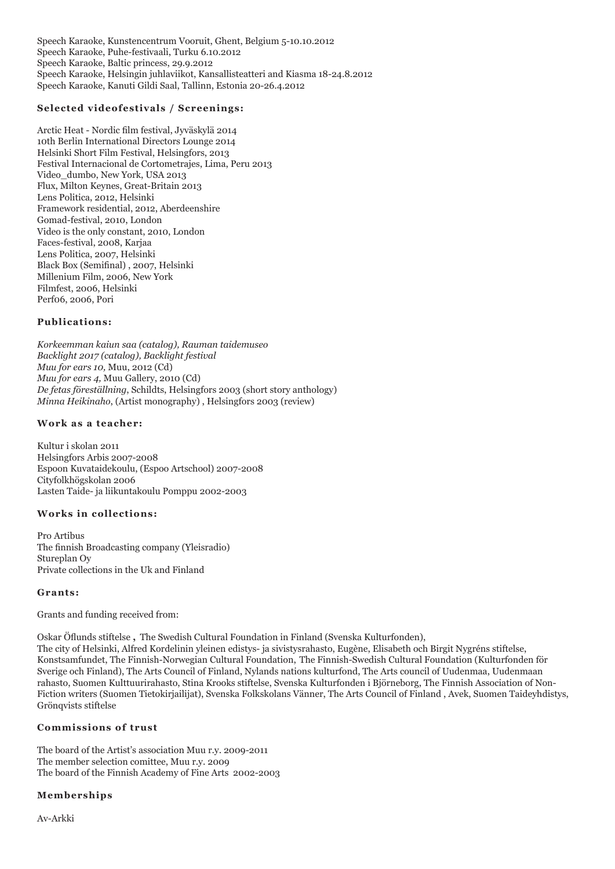Speech Karaoke, Kunstencentrum Vooruit, Ghent, Belgium 5-10.10.2012 Speech Karaoke, Puhe-festivaali, Turku 6.10.2012 Speech Karaoke, Baltic princess, 29.9.2012 Speech Karaoke, Helsingin juhlaviikot, Kansallisteatteri and Kiasma 18-24.8.2012 Speech Karaoke, Kanuti Gildi Saal, Tallinn, Estonia 20-26.4.2012

## **Selected videofestivals / Screenings:**

Arctic Heat - Nordic film festival, Jyväskylä 2014 10th Berlin International Directors Lounge 2014 Helsinki Short Film Festival, Helsingfors, 2013 Festival Internacional de Cortometrajes, Lima, Peru 2013 Video\_dumbo, New York, USA 2013 Flux, Milton Keynes, Great-Britain 2013 Lens Politica, 2012, Helsinki Framework residential, 2012, Aberdeenshire Gomad-festival, 2010, London Video is the only constant, 2010, London Faces-festival, 2008, Karjaa Lens Politica, 2007, Helsinki Black Box (Semifinal) , 2007, Helsinki Millenium Film, 2006, New York Filmfest, 2006, Helsinki Perf06, 2006, Pori

#### **Publications:**

*Korkeemman kaiun saa (catalog), Rauman taidemuseo Backlight 2017 (catalog), Backlight festival Muu for ears 10,* Muu, 2012 (Cd) *Muu for ears 4,* Muu Gallery, 2010 (Cd) *De fetas föreställning*, Schildts, Helsingfors 2003 (short story anthology) *Minna Heikinaho*, (Artist monography) , Helsingfors 2003 (review)

#### **Work as a teacher:**

Kultur i skolan 2011 Helsingfors Arbis 2007-2008 Espoon Kuvataidekoulu, (Espoo Artschool) 2007-2008 Cityfolkhögskolan 2006 Lasten Taide- ja liikuntakoulu Pomppu 2002-2003

## **Works in collections:**

Pro Artibus The finnish Broadcasting company (Yleisradio) Stureplan Oy Private collections in the Uk and Finland

#### **Grants:**

Grants and funding received from:

Oskar Öflunds stiftelse **,** The Swedish Cultural Foundation in Finland (Svenska Kulturfonden),

The city of Helsinki, Alfred Kordelinin yleinen edistys- ja sivistysrahasto, Eugène, Elisabeth och Birgit Nygréns stiftelse, Konstsamfundet, The Finnish-Norwegian Cultural Foundation, The Finnish-Swedish Cultural Foundation (Kulturfonden för Sverige och Finland), The Arts Council of Finland, Nylands nations kulturfond, The Arts council of Uudenmaa, Uudenmaan rahasto, Suomen Kulttuurirahasto, Stina Krooks stiftelse, Svenska Kulturfonden i Björneborg, The Finnish Association of Non-Fiction writers (Suomen Tietokirjailijat), Svenska Folkskolans Vänner, The Arts Council of Finland , Avek, Suomen Taideyhdistys, Grönqvists stiftelse

#### **Commissions of trust**

The board of the Artist's association Muu r.y. 2009-2011 The member selection comittee, Muu r.y. 2009 The board of the Finnish Academy of Fine Arts 2002-2003

### **Memberships**

Av-Arkki